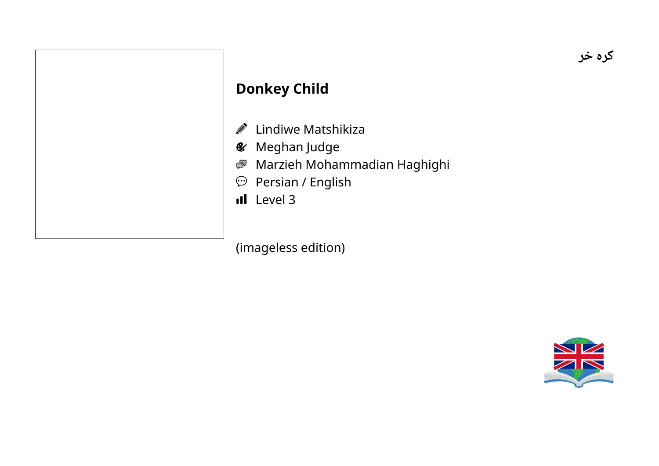#### **Donkey Child**

- **D** Lindiwe Matshikiza
- **&** Meghan Judge
- Marzieh Mohammadian Haghighi
- $\mathfrak{D}$  Persian / English
- Il Level 3

(imageless edition)

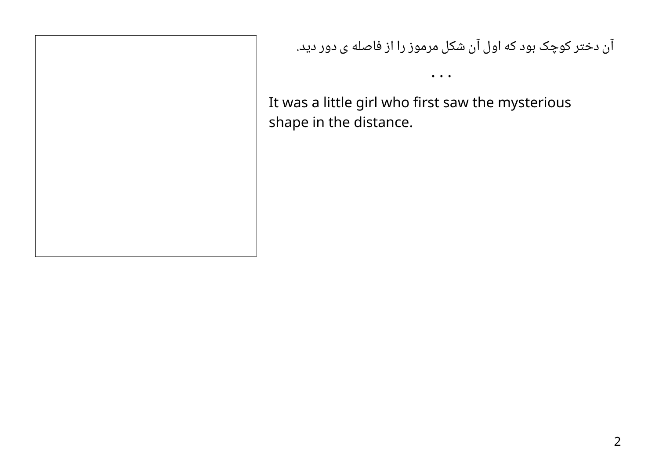آن دختر کوچک بود که اول آن شکل مرموز را از فاصله ی دور دید.

• • •

It was a little girl who first saw the mysterious shape in the distance.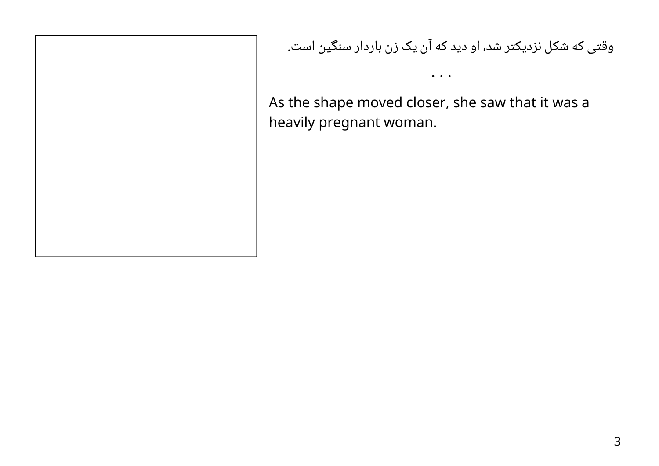وقتی که شکل نزدیکتر شد، او دید که آن یک زن باردار سنگین است.

As the shape moved closer, she saw that it was a heavily pregnant woman.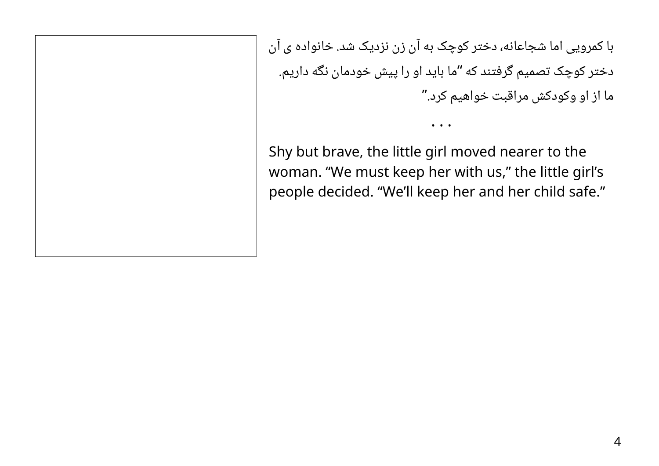با کمرویی اما شجاعانه، دختر کوچک به آن زن نزدیک شد. خانواده ی آن دختر کوچک تصمیم گرفتند که "ما باید او را پیش خودمان نگه داریم. ما از او وکودکش مراقبت خواهیم کرد."

• • •

Shy but brave, the little girl moved nearer to the woman. "We must keep her with us," the little girl's people decided. "We'll keep her and her child safe."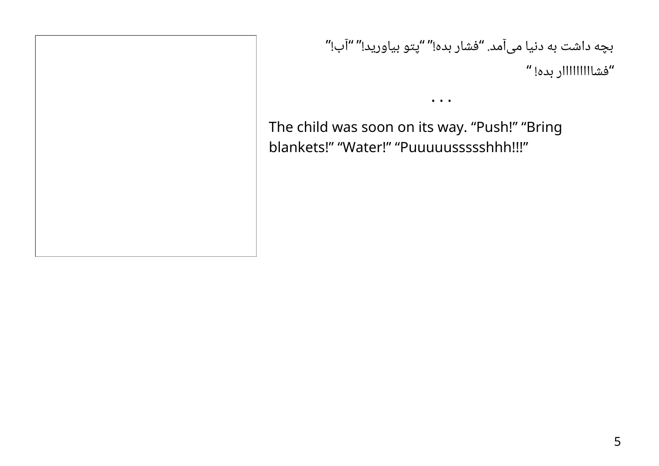بچه داشت به دنیا میآمد. "فشار بده!" "پتو بیاورید!" "آب!" "فشااااااااار بده! "

The child was soon on its way. "Push!" "Bring blankets!" "Water!" "Puuuuussssshhh!!!"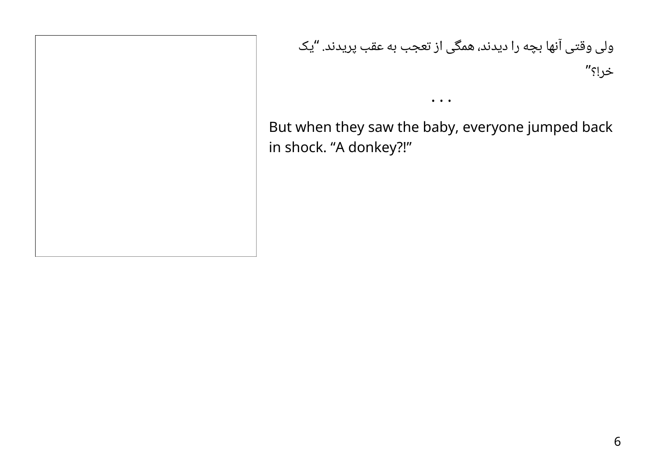یک ولی وقتی آنها بچه را دیدند، همگی از تعجب به عقب پریدند. " خر!؟"

But when they saw the baby, everyone jumped back in shock. "A donkey?!"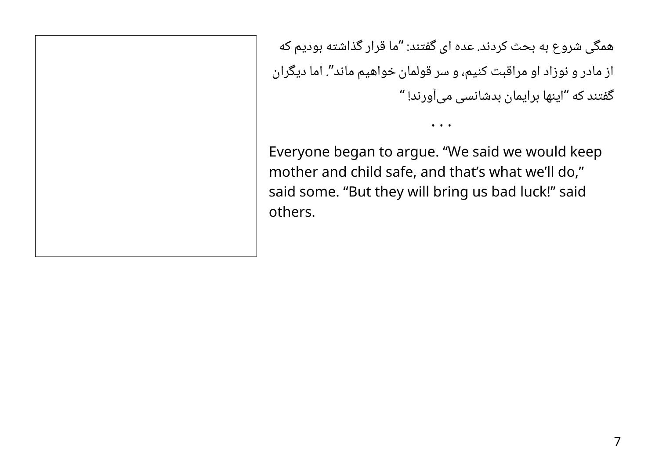همگی شروع به بحث کردند. عده ای گفتند: "ما قرار گذاشته بودیم که از مادر و نوزاد او مراقبت کنیم، و سر قولمان خواهیم ماند". اما دیگران "اینها برایمان بدشانسی میآورند! " گفتند که

• • •

Everyone began to argue. "We said we would keep mother and child safe, and that's what we'll do," said some. "But they will bring us bad luck!" said others.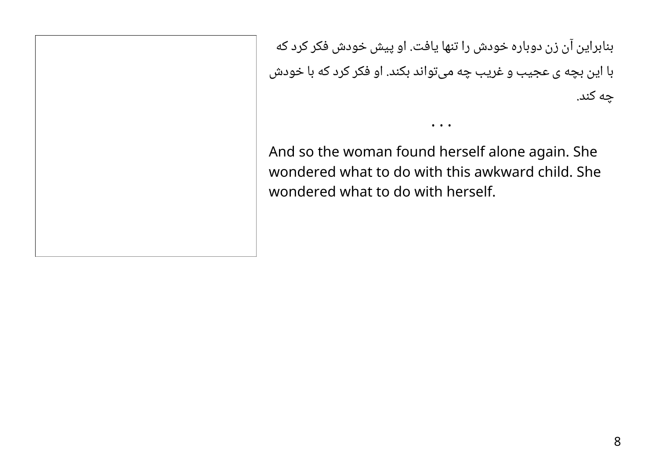بنابراین آن زن دوباره خودش را تنها یافت. او پیش خودش فکر کرد که با این بچه ی عجیب و غریب چه میتواند بکند. او فکر کرد که با خودش چه کند.

• • •

And so the woman found herself alone again. She wondered what to do with this awkward child. She wondered what to do with herself.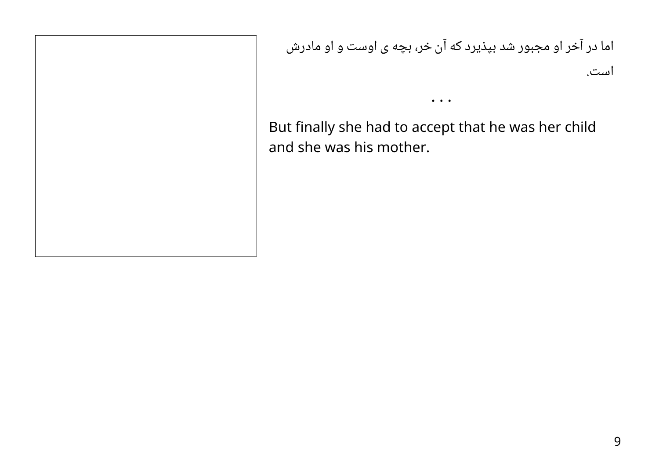اما در آخر او مجبور شد بپذیرد که آن خر، بچه ی اوست و او مادرش است.

But finally she had to accept that he was her child and she was his mother.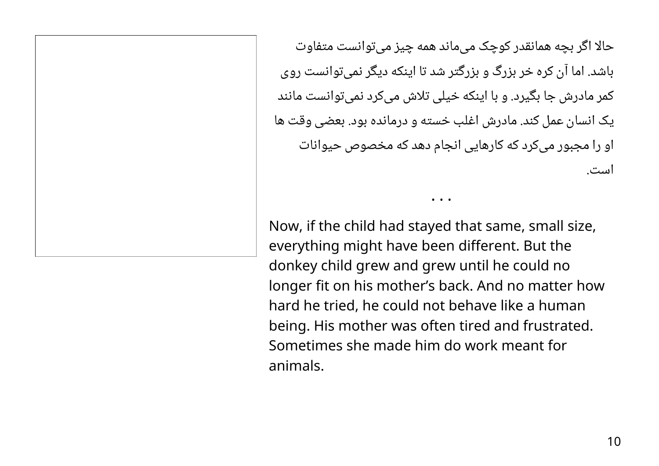حالا اگر بچه همانقدر کوچک می ماند همه چیز می توانست متفاوت باشد. اما آن کره خر بزرگ و بزرگتر شد تا اینکه دیگر نمیتوانست روی کمر مادرش جا بگیرد. و با اینکه خیلی تلاش میکرد نمیتوانست مانند یک انسان عمل کند. مادرش اغلب خسته و درمانده بود. بعضی وقت ها او را مجبور میکرد که کارهایی انجام دهد که مخصوص حیوانات است.

• • •

Now, if the child had stayed that same, small size, everything might have been different. But the donkey child grew and grew until he could no longer fit on his mother's back. And no matter how hard he tried, he could not behave like a human being. His mother was often tired and frustrated. Sometimes she made him do work meant for animals.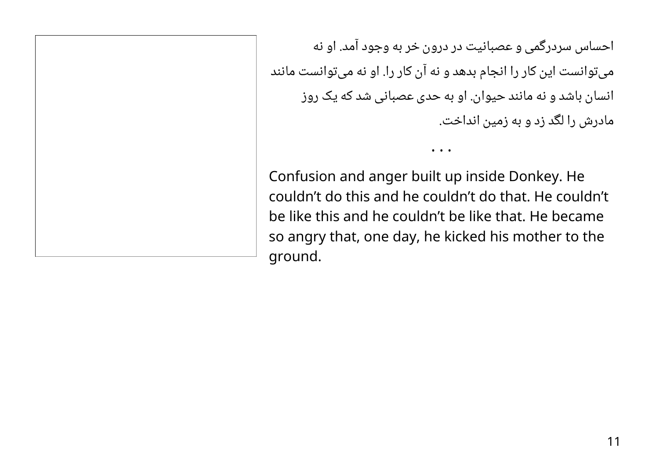احساس سردرگمی و عصبانیت در درون خر به وجود آمد. او نه میتوانست این کار را انجام بدهد و نه آن کار را. او نه میتوانست مانند انسان باشد و نه مانند حیوان. او به حدی عصبانی شد که یک روز مادرش را لگد زد و به زمین انداخت.

• • •

Confusion and anger built up inside Donkey. He couldn't do this and he couldn't do that. He couldn't be like this and he couldn't be like that. He became so angry that, one day, he kicked his mother to the ground.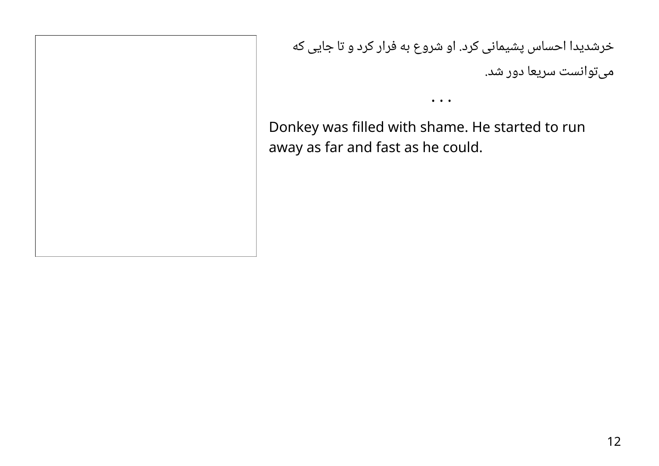خرشدیدا احساس پشیمانی کرد. او شروع به فرار کرد و تا جایی که میتوانست سریعا دور شد.

Donkey was filled with shame. He started to run away as far and fast as he could.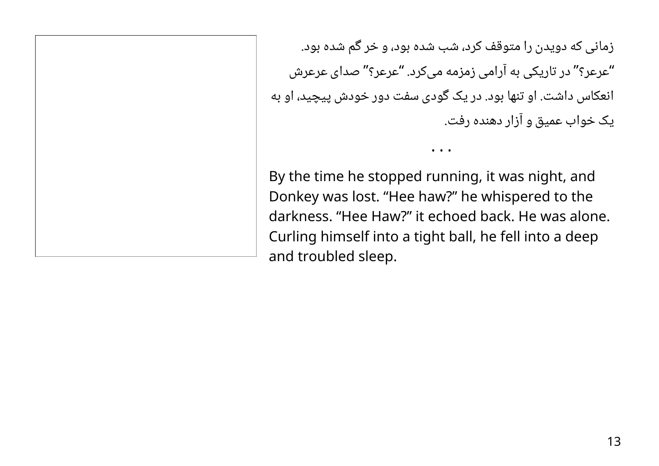زمانی که دویدن را متوقف کرد، شب شده بود، و خر گم شده بود. "عرعر؟" در تاریکی به آرامی زمزمه میکرد. "عرعر؟" صدای عرعرش انعکاس داشت. او تنها بود. در یک گودی سفت دور خودش پیچید، او به یک خواب عمیق و آزار دهنده رفت.

By the time he stopped running, it was night, and Donkey was lost. "Hee haw?" he whispered to the darkness. "Hee Haw?" it echoed back. He was alone. Curling himself into a tight ball, he fell into a deep and troubled sleep.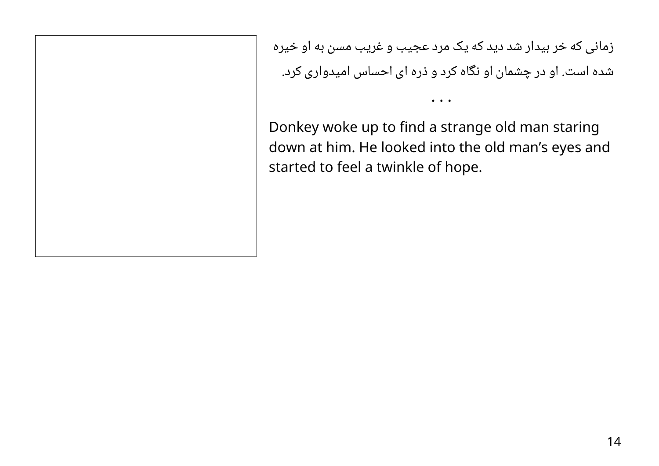زمانی که خر بیدار شد دید که یک مرد عجیب و غریب مسن به او خیره شده است. او در چشمان او نگاه کرد و ذره ای احساس امیدواری کرد.

Donkey woke up to find a strange old man staring down at him. He looked into the old man's eyes and started to feel a twinkle of hope.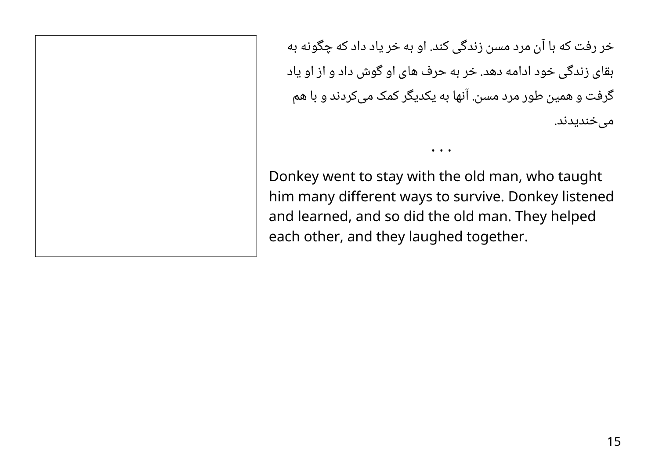خر رفت که با آن مرد مسن زندگی کند. او به خر یاد داد که چگونه به بقای زندگی خود ادامه دهد. خر به حرف های او گوش داد و از او یاد گرفت و همین طور مرد مسن. آنها به یکدیگر کمک میکردند و با هم میخندیدند.

Donkey went to stay with the old man, who taught him many different ways to survive. Donkey listened and learned, and so did the old man. They helped each other, and they laughed together.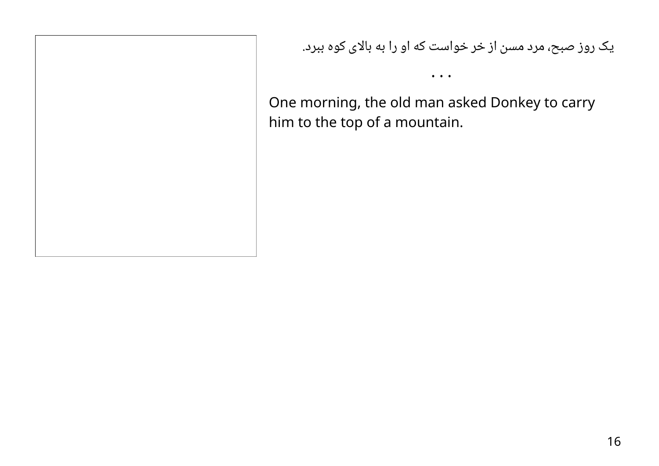## یک روز صبح، مرد مسن از خر خواست که او را به بالای کوه ببرد.

One morning, the old man asked Donkey to carry him to the top of a mountain.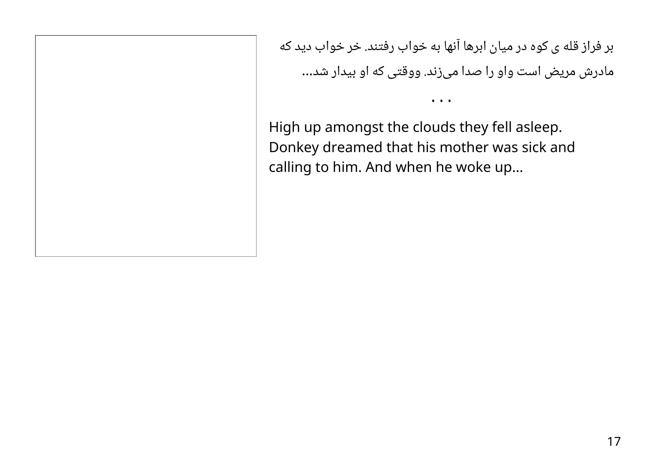بر فراز قله ی کوه در میان ابرها آنها به خواب رفتند. خر خواب دید که مادرش مریض است واو را صدا میزند. ووقتی که او بیدار شد...

• • •

High up amongst the clouds they fell asleep. Donkey dreamed that his mother was sick and calling to him. And when he woke up…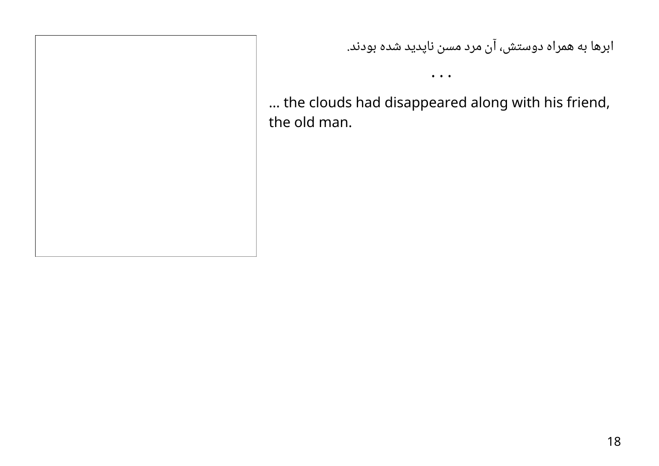## ابرها به همراه دوستش، آن مرد مسن ناپدید شده بودند.

… the clouds had disappeared along with his friend, the old man.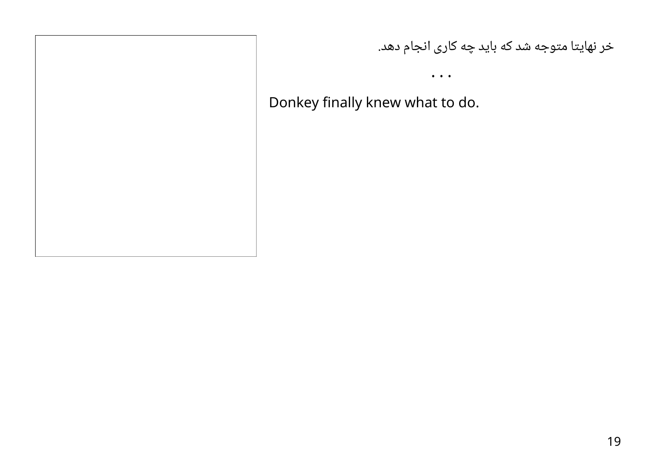#### خر نهایتا متوجه شد که باید چه کاری انجام دهد.

• • •

Donkey finally knew what to do.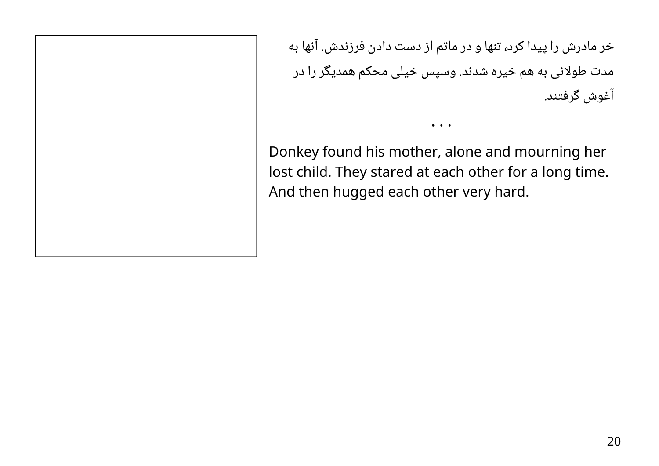خر مادرش را پیدا کرد، تنها و در ماتم از دست دادن فرزندش. آنها به مدت طولانی به هم خیره شدند. وسپس خیلی محکم همدیگر را در آغوش گرفتند.

Donkey found his mother, alone and mourning her lost child. They stared at each other for a long time. And then hugged each other very hard.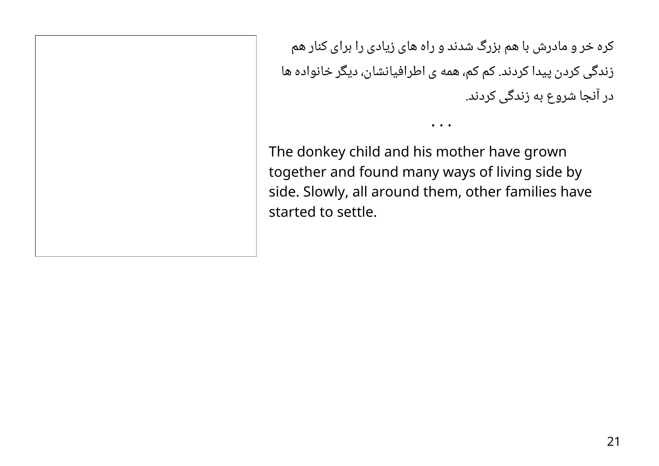کره خر و مادرش با هم بزرگ شدند و راه های زیادی را برای کنار هم زندگی کردن پیدا کردند. کم کم، همه ی اطرافیانشان، دیگر خانواده ها در آنجا شروع به زندگی کردند.

• • •

The donkey child and his mother have grown together and found many ways of living side by side. Slowly, all around them, other families have started to settle.